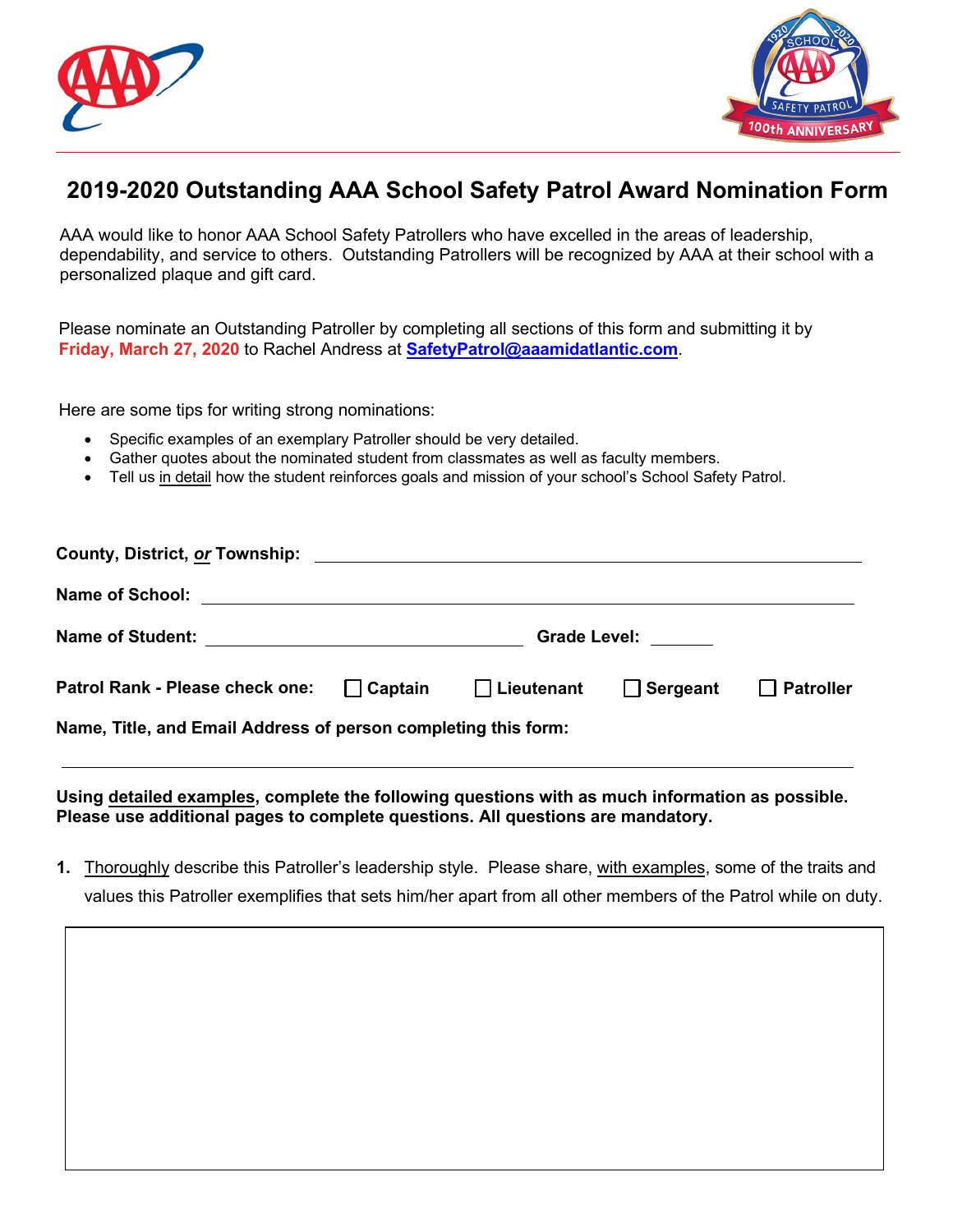



## **2019-2020 Outstanding AAA School Safety Patrol Award Nomination Form**

AAA would like to honor AAA School Safety Patrollers who have excelled in the areas of leadership, dependability, and service to others. Outstanding Patrollers will be recognized by AAA at their school with a personalized plaque and gift card.

Please nominate an Outstanding Patroller by completing all sections of this form and submitting it by **Friday, March 27, 2020** to Rachel Andress at **[SafetyPatrol@aaamidatlantic.com](mailto: safetypatrol@aaamidatlantic.com)**.

Here are some tips for writing strong nominations:

- Specific examples of an exemplary Patroller should be very detailed.
- Gather quotes about the nominated student from classmates as well as faculty members.
- Tell us in detail how the student reinforces goals and mission of your school's School Safety Patrol.

|                                                                                  | <b>Grade Level:</b> |  |  |                  |
|----------------------------------------------------------------------------------|---------------------|--|--|------------------|
| Patrol Rank - Please check one: $\Box$ Captain $\Box$ Lieutenant $\Box$ Sergeant |                     |  |  | $\Box$ Patroller |
| Name, Title, and Email Address of person completing this form:                   |                     |  |  |                  |

**Using detailed examples, complete the following questions with as much information as possible. Please use additional pages to complete questions. All questions are mandatory.** 

**1.** Thoroughly describe this Patroller's leadership style. Please share, with examples, some of the traits and values this Patroller exemplifies that sets him/her apart from all other members of the Patrol while on duty.